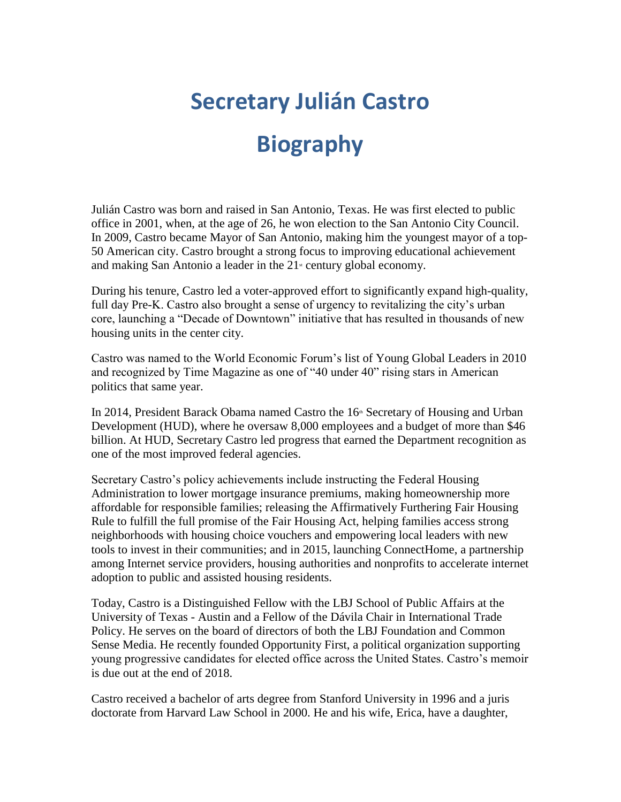## **Secretary Julián Castro**

## **Biography**

Julián Castro was born and raised in San Antonio, Texas. He was first elected to public office in 2001, when, at the age of 26, he won election to the San Antonio City Council. In 2009, Castro became Mayor of San Antonio, making him the youngest mayor of a top-50 American city. Castro brought a strong focus to improving educational achievement and making San Antonio a leader in the  $21$ <sup>st</sup> century global economy.

During his tenure, Castro led a voter-approved effort to significantly expand high-quality, full day Pre-K. Castro also brought a sense of urgency to revitalizing the city's urban core, launching a "Decade of Downtown" initiative that has resulted in thousands of new housing units in the center city.

Castro was named to the World Economic Forum's list of Young Global Leaders in 2010 and recognized by Time Magazine as one of "40 under 40" rising stars in American politics that same year.

In 2014, President Barack Obama named Castro the 16<sup>th</sup> Secretary of Housing and Urban Development (HUD), where he oversaw 8,000 employees and a budget of more than \$46 billion. At HUD, Secretary Castro led progress that earned the Department recognition as one of the most improved federal agencies.

Secretary Castro's policy achievements include instructing the Federal Housing Administration to lower mortgage insurance premiums, making homeownership more affordable for responsible families; releasing the Affirmatively Furthering Fair Housing Rule to fulfill the full promise of the Fair Housing Act, helping families access strong neighborhoods with housing choice vouchers and empowering local leaders with new tools to invest in their communities; and in 2015, launching ConnectHome, a partnership among Internet service providers, housing authorities and nonprofits to accelerate internet adoption to public and assisted housing residents.

Today, Castro is a Distinguished Fellow with the LBJ School of Public Affairs at the University of Texas - Austin and a Fellow of the Dávila Chair in International Trade Policy. He serves on the board of directors of both the LBJ Foundation and Common Sense Media. He recently founded Opportunity First, a political organization supporting young progressive candidates for elected office across the United States. Castro's memoir is due out at the end of 2018.

Castro received a bachelor of arts degree from Stanford University in 1996 and a juris doctorate from Harvard Law School in 2000. He and his wife, Erica, have a daughter,